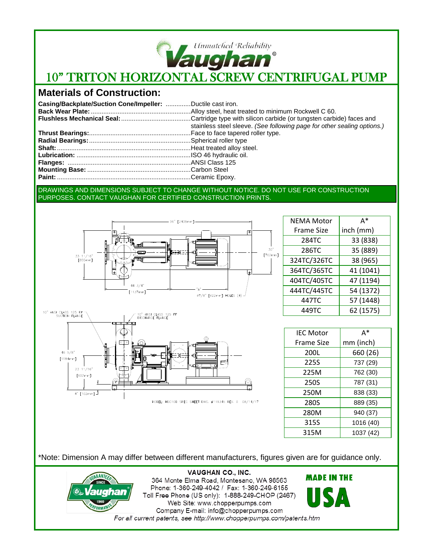

# **Vaughan**<br>10" TRITON HORIZONTAL SCREW CENTRIFUGAL PUMP

## **Materials of Construction:**

| Casing/Backplate/Suction Cone/Impeller: Ductile cast iron. |                                                                         |
|------------------------------------------------------------|-------------------------------------------------------------------------|
|                                                            |                                                                         |
|                                                            |                                                                         |
|                                                            | stainless steel sleeve. (See following page for other sealing options.) |
|                                                            |                                                                         |
|                                                            |                                                                         |
|                                                            |                                                                         |
|                                                            |                                                                         |
|                                                            |                                                                         |
|                                                            |                                                                         |
|                                                            |                                                                         |
|                                                            |                                                                         |

#### DRAWINGS AND DIMENSIONS SUBJECT TO CHANGE WITHOUT NOTICE. DO NOT USE FOR CONSTRUCTION PURPOSES. CONTACT VAUGHAN FOR CERTIFIED CONSTRUCTION PRINTS.





NEMA Motor Frame Size A\* inch (mm) 284TC 33 (838) 286TC 35 (889) 324TC/326TC 38 (965) 364TC/365TC 41 (1041) 404TC/405TC 47 (1194) 444TC/445TC | 54 (1372) 447TC 57 (1448) 449TC 62 (1575)

| <b>IFC Motor</b>  | A*        |
|-------------------|-----------|
| <b>Frame Size</b> | mm (inch) |
| 200L              | 660 (26)  |
| 225S              | 737 (29)  |
| 225M              | 762 (30)  |
| 250S              | 787 (31)  |
| 250M              | 838 (33)  |
| 280S              | 889 (35)  |
| 280M              | 940 (37)  |
| 315S              | 1016 (40) |
| 315M              | 1037 (42) |

\*Note: Dimension A may differ between different manufacturers, figures given are for guidance only.



**VAUGHAN CO., INC.** 364 Monte Elma Road, Montesano, WA 98563 Phone: 1-360-249-4042 / Fax: 1-360-249-6155 Toll Free Phone (US only): 1-888-249-CHOP (2467) Web Site: www.chopperpumps.com Company E-mail: info@chopperpumps.com For all current patents, see http://www.chopperpumps.com/patents.htm